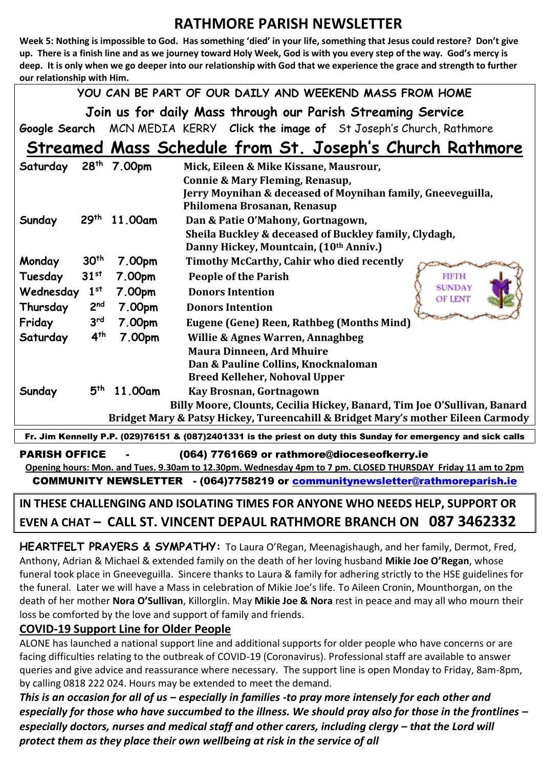### **RATHMORE PARISH NEWSLETTER**

**Week 5: Nothing is impossible to God. Has something 'died' in your life, something that Jesus could restore? Don't give up. There is a finish line and as we journey toward Holy Week, God is with you every step of the way. God's mercy is deep. It is only when we go deeper into our relationship with God that we experience the grace and strength to further our relationship with Him.** 

**YOU CAN BE PART OF OUR DAILY AND WEEKEND MASS FROM HOME**

**Join us for daily Mass through our Parish Streaming Service**

**Google Search** MCN MEDIA KERRY **Click the image of** St Joseph's Church, Rathmore

# **Streamed Mass Schedule from St. Joseph's Church Rathmore**

| Saturday                                                                                                       | 28 <sup>th</sup> | 7.00pm  | Mick, Eileen & Mike Kissane, Mausrour,                                           |  |  |
|----------------------------------------------------------------------------------------------------------------|------------------|---------|----------------------------------------------------------------------------------|--|--|
|                                                                                                                |                  |         | Connie & Mary Fleming, Renasup,                                                  |  |  |
|                                                                                                                |                  |         | Jerry Moynihan & deceased of Moynihan family, Gneeveguilla,                      |  |  |
|                                                                                                                |                  |         | Philomena Brosanan, Renasup                                                      |  |  |
| Sunday                                                                                                         | 29 <sup>th</sup> | 11.00am | Dan & Patie O'Mahony, Gortnagown,                                                |  |  |
|                                                                                                                |                  |         | Sheila Buckley & deceased of Buckley family, Clydagh,                            |  |  |
|                                                                                                                |                  |         | Danny Hickey, Mountcain, (10th Anniv.)                                           |  |  |
| Monday                                                                                                         | 30 <sup>th</sup> | 7.00pm  | Timothy McCarthy, Cahir who died recently                                        |  |  |
| Tuesday                                                                                                        | 31 <sup>st</sup> | 7.00pm  | <b>People of the Parish</b><br><b>FIFTH</b>                                      |  |  |
| Wednesday                                                                                                      | 1 <sup>st</sup>  | 7.00pm  | <b>SUNDAY</b><br><b>Donors Intention</b>                                         |  |  |
| Thursday                                                                                                       | 2 <sup>nd</sup>  | 7.00pm  | OF LENT<br><b>Donors Intention</b>                                               |  |  |
| Friday                                                                                                         | 3 <sup>rd</sup>  | 7.00pm  | <b>Eugene (Gene) Reen, Rathbeg (Months Mind)</b>                                 |  |  |
| Saturday                                                                                                       | 4 <sup>th</sup>  | 7.00pm  | <b>Willie &amp; Agnes Warren, Annaghbeg</b>                                      |  |  |
|                                                                                                                |                  |         | <b>Maura Dinneen, Ard Mhuire</b>                                                 |  |  |
|                                                                                                                |                  |         | Dan & Pauline Collins, Knocknaloman                                              |  |  |
|                                                                                                                |                  |         | <b>Breed Kelleher, Nohoval Upper</b>                                             |  |  |
| Sunday                                                                                                         | 5 <sup>th</sup>  | 11.00am | Kay Brosnan, Gortnagown                                                          |  |  |
|                                                                                                                |                  |         | Billy Moore, Clounts, Cecilia Hickey, Banard, Tim Joe O'Sullivan, Banard         |  |  |
|                                                                                                                |                  |         | Bridget Mary & Patsy Hickey, Tureencahill & Bridget Mary's mother Eileen Carmody |  |  |
| Fr. Jim Kennelly P.P. (029)76151 & (087)2401331 is the priest on duty this Sunday for emergency and sick calls |                  |         |                                                                                  |  |  |

PARISH OFFICE - (064) 7761669 or rathmore@dioceseofkerry.ie **Opening hours: Mon. and Tues. 9.30am to 12.30pm. Wednesday 4pm to 7 pm. CLOSED THURSDAY Friday 11 am to 2pm**  COMMUNITY NEWSLETTER - (064)7758219 or [communitynewsletter@rathmoreparish.ie](mailto:communitynewsletter@rathmoreparish.ie)

## **IN THESE CHALLENGING AND ISOLATING TIMES FOR ANYONE WHO NEEDS HELP, SUPPORT OR EVEN A CHAT – CALL ST. VINCENT DEPAUL RATHMORE BRANCH ON 087 3462332**

**HEARTFELT PRAYERS & SYMPATHY:** To Laura O'Regan, Meenagishaugh, and her family, Dermot, Fred, Anthony, Adrian & Michael & extended family on the death of her loving husband **Mikie Joe O'Regan**, whose funeral took place in Gneeveguilla. Sincere thanks to Laura & family for adhering strictly to the HSE guidelines for the funeral. Later we will have a Mass in celebration of Mikie Joe's life. To Aileen Cronin, Mounthorgan, on the death of her mother **Nora O'Sullivan**, Killorglin. May **Mikie Joe & Nora** rest in peace and may all who mourn their loss be comforted by the love and support of family and friends.

#### **COVID-19 Support Line for Older People**

ALONE has launched a national support line and additional supports for older people who have concerns or are facing difficulties relating to the outbreak of COVID-19 (Coronavirus). Professional staff are available to answer queries and give advice and reassurance where necessary. The support line is open Monday to Friday, 8am-8pm, by calling 0818 222 024. Hours may be extended to meet the demand.

*This is an occasion for all of us – especially in families -to pray more intensely for each other and especially for those who have succumbed to the illness. We should pray also for those in the frontlines – especially doctors, nurses and medical staff and other carers, including clergy – that the Lord will protect them as they place their own wellbeing at risk in the service of all*